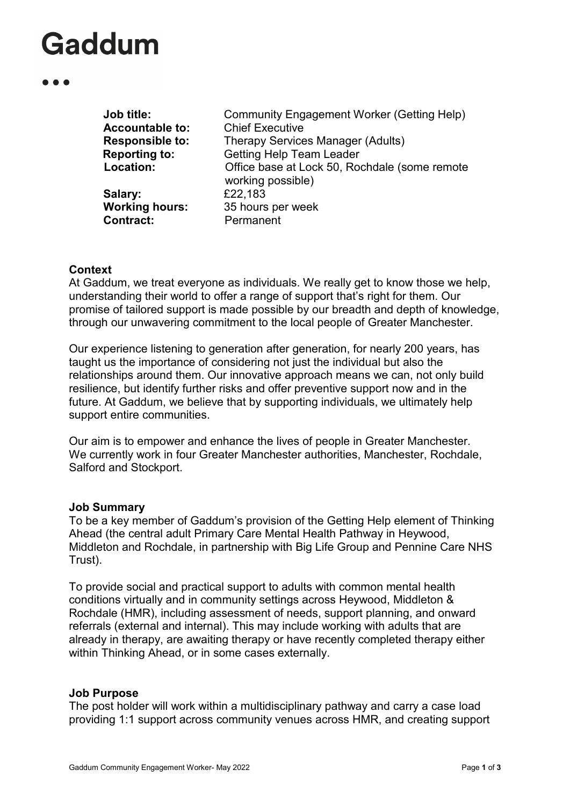| Community Engagement Worker (Getting Help)<br><b>Chief Executive</b> |
|----------------------------------------------------------------------|
| Therapy Services Manager (Adults)                                    |
| <b>Getting Help Team Leader</b>                                      |
| Office base at Lock 50, Rochdale (some remote<br>working possible)   |
| £22,183                                                              |
| 35 hours per week<br>Permanent                                       |
|                                                                      |

### **Context**

At Gaddum, we treat everyone as individuals. We really get to know those we help, understanding their world to offer a range of support that's right for them. Our promise of tailored support is made possible by our breadth and depth of knowledge, through our unwavering commitment to the local people of Greater Manchester.

Our experience listening to generation after generation, for nearly 200 years, has taught us the importance of considering not just the individual but also the relationships around them. Our innovative approach means we can, not only build resilience, but identify further risks and offer preventive support now and in the future. At Gaddum, we believe that by supporting individuals, we ultimately help support entire communities.

Our aim is to empower and enhance the lives of people in Greater Manchester. We currently work in four Greater Manchester authorities, Manchester, Rochdale, Salford and Stockport.

### **Job Summary**

To be a key member of Gaddum's provision of the Getting Help element of Thinking Ahead (the central adult Primary Care Mental Health Pathway in Heywood, Middleton and Rochdale, in partnership with Big Life Group and Pennine Care NHS Trust).

To provide social and practical support to adults with common mental health conditions virtually and in community settings across Heywood, Middleton & Rochdale (HMR), including assessment of needs, support planning, and onward referrals (external and internal). This may include working with adults that are already in therapy, are awaiting therapy or have recently completed therapy either within Thinking Ahead, or in some cases externally.

### **Job Purpose**

The post holder will work within a multidisciplinary pathway and carry a case load providing 1:1 support across community venues across HMR, and creating support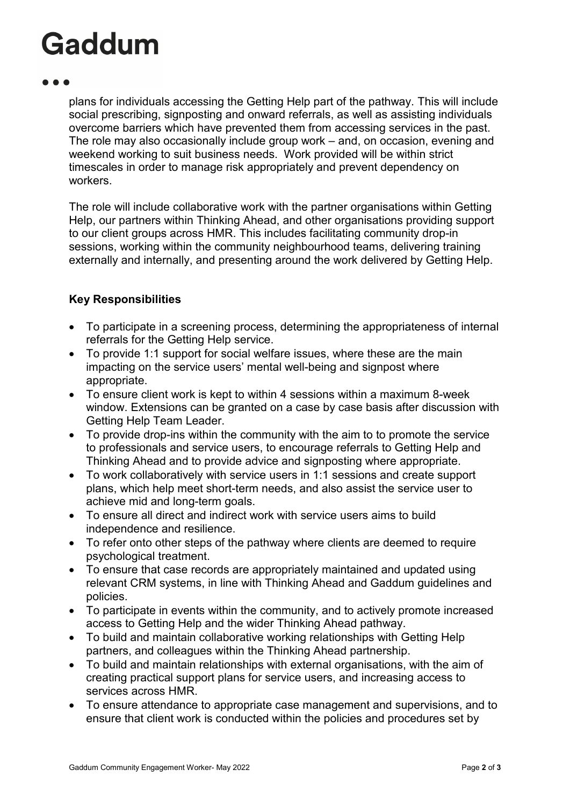plans for individuals accessing the Getting Help part of the pathway. This will include social prescribing, signposting and onward referrals, as well as assisting individuals overcome barriers which have prevented them from accessing services in the past. The role may also occasionally include group work – and, on occasion, evening and weekend working to suit business needs. Work provided will be within strict timescales in order to manage risk appropriately and prevent dependency on workers.

The role will include collaborative work with the partner organisations within Getting Help, our partners within Thinking Ahead, and other organisations providing support to our client groups across HMR. This includes facilitating community drop-in sessions, working within the community neighbourhood teams, delivering training externally and internally, and presenting around the work delivered by Getting Help.

### **Key Responsibilities**

- To participate in a screening process, determining the appropriateness of internal referrals for the Getting Help service.
- To provide 1:1 support for social welfare issues, where these are the main impacting on the service users' mental well-being and signpost where appropriate.
- To ensure client work is kept to within 4 sessions within a maximum 8-week window. Extensions can be granted on a case by case basis after discussion with Getting Help Team Leader.
- To provide drop-ins within the community with the aim to to promote the service to professionals and service users, to encourage referrals to Getting Help and Thinking Ahead and to provide advice and signposting where appropriate.
- To work collaboratively with service users in 1:1 sessions and create support plans, which help meet short-term needs, and also assist the service user to achieve mid and long-term goals.
- To ensure all direct and indirect work with service users aims to build independence and resilience.
- To refer onto other steps of the pathway where clients are deemed to require psychological treatment.
- To ensure that case records are appropriately maintained and updated using relevant CRM systems, in line with Thinking Ahead and Gaddum guidelines and policies.
- To participate in events within the community, and to actively promote increased access to Getting Help and the wider Thinking Ahead pathway.
- To build and maintain collaborative working relationships with Getting Help partners, and colleagues within the Thinking Ahead partnership.
- To build and maintain relationships with external organisations, with the aim of creating practical support plans for service users, and increasing access to services across HMR.
- To ensure attendance to appropriate case management and supervisions, and to ensure that client work is conducted within the policies and procedures set by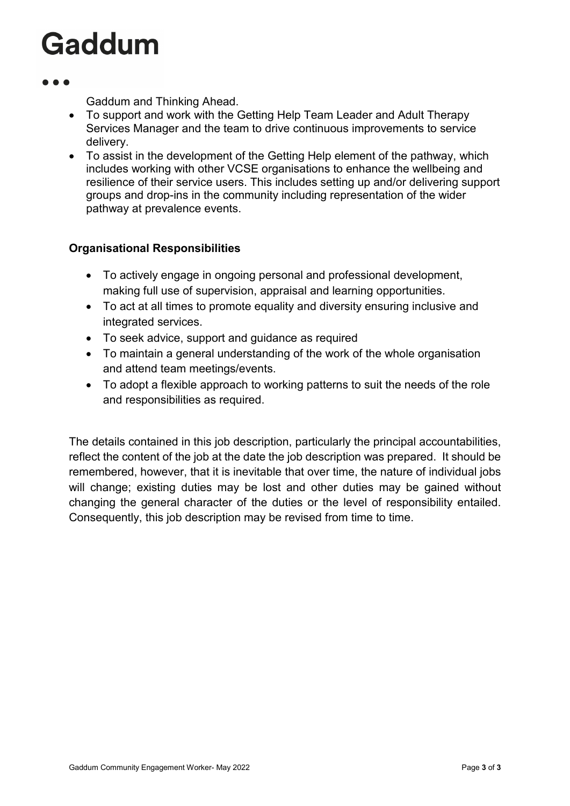Gaddum and Thinking Ahead.

- To support and work with the Getting Help Team Leader and Adult Therapy Services Manager and the team to drive continuous improvements to service delivery.
- To assist in the development of the Getting Help element of the pathway, which includes working with other VCSE organisations to enhance the wellbeing and resilience of their service users. This includes setting up and/or delivering support groups and drop-ins in the community including representation of the wider pathway at prevalence events.

### **Organisational Responsibilities**

- To actively engage in ongoing personal and professional development, making full use of supervision, appraisal and learning opportunities.
- To act at all times to promote equality and diversity ensuring inclusive and integrated services.
- To seek advice, support and guidance as required
- To maintain a general understanding of the work of the whole organisation and attend team meetings/events.
- To adopt a flexible approach to working patterns to suit the needs of the role and responsibilities as required.

The details contained in this job description, particularly the principal accountabilities, reflect the content of the job at the date the job description was prepared. It should be remembered, however, that it is inevitable that over time, the nature of individual jobs will change; existing duties may be lost and other duties may be gained without changing the general character of the duties or the level of responsibility entailed. Consequently, this job description may be revised from time to time.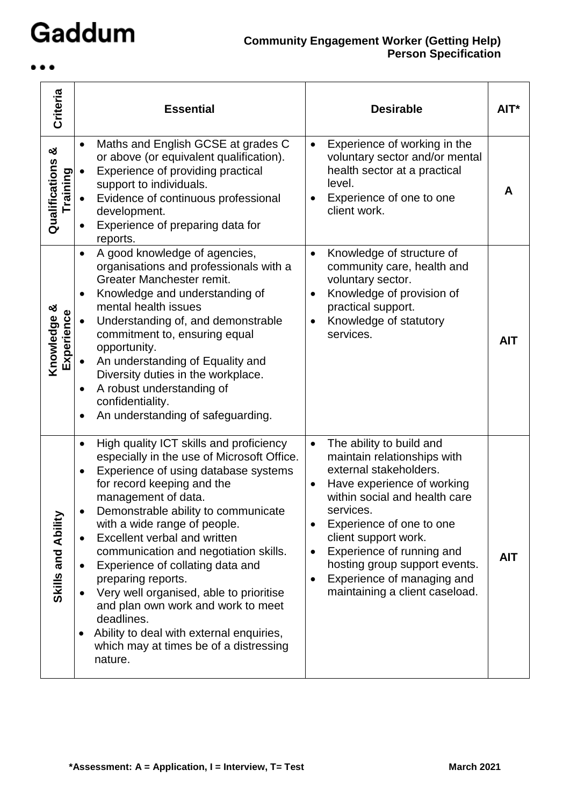$\bullet\bullet\bullet$ 

| Criteria                         | <b>Essential</b>                                                                                                                                                                                                                                                                                                                                                                                                                                                                                                                                                                                                                                                                        | <b>Desirable</b>                                                                                                                                                                                                                                                                                                                                                          | $AIT^*$    |
|----------------------------------|-----------------------------------------------------------------------------------------------------------------------------------------------------------------------------------------------------------------------------------------------------------------------------------------------------------------------------------------------------------------------------------------------------------------------------------------------------------------------------------------------------------------------------------------------------------------------------------------------------------------------------------------------------------------------------------------|---------------------------------------------------------------------------------------------------------------------------------------------------------------------------------------------------------------------------------------------------------------------------------------------------------------------------------------------------------------------------|------------|
| න්<br>Qualifications<br>Training | Maths and English GCSE at grades C<br>$\bullet$<br>or above (or equivalent qualification).<br>Experience of providing practical<br>$\bullet$<br>support to individuals.<br>Evidence of continuous professional<br>development.<br>Experience of preparing data for<br>reports.                                                                                                                                                                                                                                                                                                                                                                                                          | Experience of working in the<br>$\bullet$<br>voluntary sector and/or mental<br>health sector at a practical<br>level.<br>Experience of one to one<br>client work.                                                                                                                                                                                                         | A          |
| Knowledge &<br>Experience        | A good knowledge of agencies,<br>$\bullet$<br>organisations and professionals with a<br>Greater Manchester remit.<br>Knowledge and understanding of<br>$\bullet$<br>mental health issues<br>Understanding of, and demonstrable<br>$\bullet$<br>commitment to, ensuring equal<br>opportunity.<br>An understanding of Equality and<br>Diversity duties in the workplace.<br>A robust understanding of<br>٠<br>confidentiality.<br>An understanding of safeguarding.<br>$\bullet$                                                                                                                                                                                                          | Knowledge of structure of<br>$\bullet$<br>community care, health and<br>voluntary sector.<br>Knowledge of provision of<br>$\bullet$<br>practical support.<br>Knowledge of statutory<br>٠<br>services.                                                                                                                                                                     | <b>AIT</b> |
| Skills and Ability               | High quality ICT skills and proficiency<br>$\bullet$<br>especially in the use of Microsoft Office.<br>Experience of using database systems<br>$\bullet$<br>for record keeping and the<br>management of data.<br>Demonstrable ability to communicate<br>$\bullet$<br>with a wide range of people.<br>Excellent verbal and written<br>$\bullet$<br>communication and negotiation skills.<br>Experience of collating data and<br>$\bullet$<br>preparing reports.<br>Very well organised, able to prioritise<br>$\bullet$<br>and plan own work and work to meet<br>deadlines.<br>Ability to deal with external enquiries,<br>$\bullet$<br>which may at times be of a distressing<br>nature. | The ability to build and<br>$\bullet$<br>maintain relationships with<br>external stakeholders.<br>Have experience of working<br>within social and health care<br>services.<br>Experience of one to one<br>client support work.<br>Experience of running and<br>$\bullet$<br>hosting group support events.<br>Experience of managing and<br>maintaining a client caseload. | <b>AIT</b> |